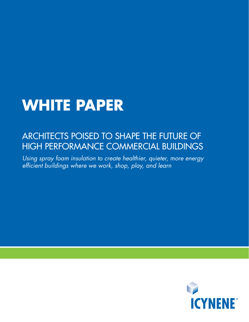# **WHITE PAPER**

# Architects poised to shape the future of high performance commercial buildings

*Using spray foam insulation to create healthier, quieter, more energy efficient buildings where we work, shop, play, and learn*

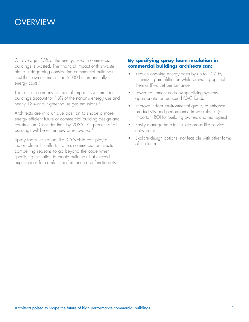# **OVERVIEW**

On average, 30% of the energy used in commercial buildings is wasted. The financial impact of this waste alone is staggering considering commercial buildings cost their owners more than \$100 billion annually in energy costs.<sup>1</sup>

There is also an environmental impact. Commercial buildings account for 18% of the nation's energy use and nearly 18% of our greenhouse gas emissions.<sup>1</sup>

Architects are in a unique position to shape a more energy efficient future of commercial building design and construction. Consider that, by 2035, 75 percent of all buildings will be either new or renovated.<sup>1</sup>

Spray foam insulation like ICYNENE can play a major role in this effort. It offers commercial architects compelling reasons to go beyond the code when specifying insulation to create buildings that exceed expectations for comfort, performance and functionality.

#### **By specifying spray foam insulation in commercial buildings architects can:**

- Reduce ongoing energy costs by up to 50% by minimizing air infiltration while providing optimal thermal (R-value) performance
- Lower equipment costs by specifying systems appropriate for reduced HVAC loads
- Improve indoor environmental quality to enhance productivity and performance in workplaces (an important ROI for building owners and managers)
- Easily manage hard-to-insulate areas like service entry points
- Explore design options, not feasible with other forms of insulation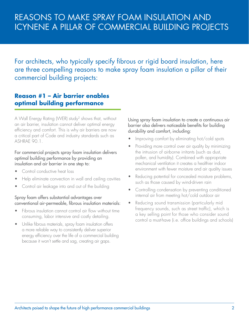For architects, who typically specify fibrous or rigid board insulation, here are three compelling reasons to make spray foam insulation a pillar of their commercial building projects:

### **Reason #1 – Air barrier enables optimal building performance**

A Wall Energy Rating (WER) study2 shows that, without an air barrier, insulation cannot deliver optimal energy efficiency and comfort. This is why air barriers are now a critical part of Code and industry standards such as ASHRAE 90.1.

#### For commercial projects spray foam insulation delivers optimal building performance by providing an insulation and air barrier in one step to:

- Control conductive heat loss
- Help eliminate convection in wall and ceiling cavities
- Control air leakage into and out of the building

#### Spray foam offers substantial advantages over conventional air-permeable, fibrous insulation materials:

- Fibrous insulation cannot control air flow without time consuming, labor intensive and costly detailing.
- Unlike fibrous materials, spray foam insulation offers a more reliable way to consistently deliver superior energy efficiency over the life of a commercial building because it won't settle and sag, creating air gaps.

Using spray foam insulation to create a continuous air barrier also delivers noticeable benefits for building durability and comfort, including:

- Improving comfort by eliminating hot/cold spots
- Providing more control over air quality by minimizing the intrusion of airborne irritants (such as dust, pollen, and humidity). Combined with appropriate mechanical ventilation it creates a healthier indoor environment with fewer moisture and air quality issues
- Reducing potential for concealed moisture problems, such as those caused by wind-driven rain
- Controlling condensation by preventing conditioned internal air from meeting hot/cold outdoor air
- Reducing sound transmission (particularly mid frequency sounds, such as street traffic), which is a key selling point for those who consider sound control a must-have (i.e. office buildings and schools)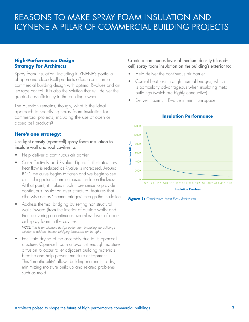#### **High-Performance Design Strategy for Architects**

Spray foam insulation, including ICYNENE's portfolio of open and closed-cell products offers a solution to commercial building design with optimal R-values and air leakage control. It is also the solution that will deliver the greatest cost-efficiency to the building owner.

The question remains, though, what is the ideal approach to specifying spray foam insulation for commercial projects, including the use of open or closed cell products?

#### **Here's one strategy:**

Use light density (open-cell) spray foam insulation to insulate wall and roof cavities to:

- Help deliver a continuous air barrier
- Cost-effectively add R-value. Figure 1 illustrates how heat flow is reduced as R-value is increased. Around R-20, the curve begins to flatten and we begin to see diminishing returns from increased insulation thickness. At that point, it makes much more sense to provide continuous insulation over structural features that otherwise act as "thermal bridges" through the insulation
- Address thermal bridging by setting non-structural walls inward (from the interior of outside walls) and then delivering a continuous, seamless layer of opencell spray foam in the cavities

 *NOTE: This is an alternate design option from insulating the building's exterior to address thermal bridging (discussed on the right)*

• Facilitate drying of the assembly due to its open-cell structure. Open-cell foam allows just enough moisture diffusion to occur to let adjacent building materials breathe and help prevent moisture entrapment. This 'breathability' allows building materials to dry, minimizing moisture build-up and related problems such as mold

#### Create a continuous layer of medium density (closedcell) spray foam insulation on the building's exterior to:

- Help deliver the continuous air barrier
- Control heat loss through thermal bridges, which is particularly advantageous when insulating metal buildings (which are highly conductive)
- Deliver maximum R-value in minimum space



#### **Insulation Performance**

*Figure 1: Conductive Heat Flow Reduction*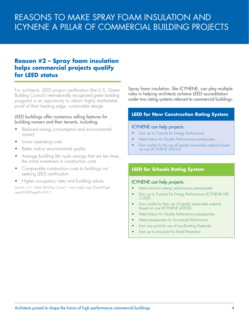### **Reason #2 – Spray foam insulation helps commercial projects qualify for LEED status**

For architects, LEED project certification (the U.S. Green Building Council's internationally recognized green building program) is an opportunity to obtain highly marketable proof of their leading edge, sustainable design.

#### LEED buildings offer numerous selling features for building owners and their tenants, including:

- Reduced energy consumption and environmental impact
- Lower operating costs
- Better indoor environmental quality
- Average building life cycle savings that are ten times the initial investment in construction costs
- Comparable construction costs to buildings not seeking LEED certification
- Higher occupancy rates and building values *(source: U.S. Green Building Council - www.usgbc.org/DisplayPage. aspx?CMSPageID=2331)*

Spray foam insulation, like ICYNENE, can play multiple roles in helping architects achieve LEED accreditation under two rating systems relevant to commercial buildings:

#### **LEED for New Construction Rating System**

#### ICYNENE can help projects:

- Earn up to 5 points for Energy Performance
- Meet Indoor Air Quality Performance prerequisites
- Earn credits for the use of rapidly renewable material based on cost *(ICYNENE LD-R-50)*

#### **LEED for Schools Rating System**

#### ICYNENE can help projects:

- Meet minimum energy performance prerequisites
- Earn up to 5 points for Energy Performance (ICYNENE MD-*C-200)*
- Earn credits for their use of rapidly renewable material based on cost *(ICYNENE LD-R-50)*
- Meet Indoor Air Quality Performance prerequisites
- Meet prerequisites for Acoustical Performance
- Earn one point for use of Low-Emitting Materials
- Earn up to one point for Mold Prevention